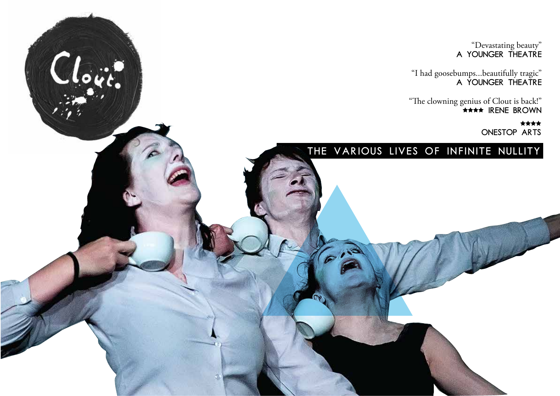"Devastating beauty" A YOUNGER THEATRE

"I had goosebumps...beautifully tragic" A YOUNGER THEATRE

"The clowning genius of Clout is back!" Irene Brown

> \*\*\*\* ONESTOP ARTS

#### THE VARIOUS LIVES OF INFINITE NULLITY

Clout.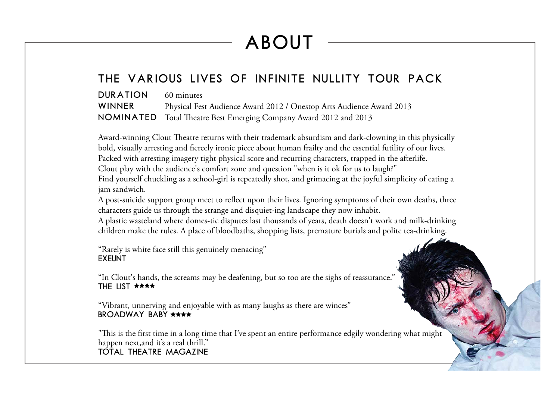## ABOUT

#### THE VARIOUS LIVES OF INFINITE NULLITY TOUR PACK

DURATION 60 minutes WINNER Physical Fest Audience Award 2012 / Onestop Arts Audience Award 2013 NOMINATED Total Theatre Best Emerging Company Award 2012 and 2013

Award-winning Clout Theatre returns with their trademark absurdism and dark-clowning in this physically bold, visually arresting and fiercely ironic piece about human frailty and the essential futility of our lives. Packed with arresting imagery tight physical score and recurring characters, trapped in the afterlife. Clout play with the audience's comfort zone and question "when is it ok for us to laugh?" Find yourself chuckling as a school-girl is repeatedly shot, and grimacing at the joyful simplicity of eating a jam sandwich.

A post-suicide support group meet to reflect upon their lives. Ignoring symptoms of their own deaths, three characters guide us through the strange and disquiet-ing landscape they now inhabit.

A plastic wasteland where domes-tic disputes last thousands of years, death doesn't work and milk-drinking children make the rules. A place of bloodbaths, shopping lists, premature burials and polite tea-drinking.

"Rarely is white face still this genuinely menacing" **EXEUNT** 

"In Clout's hands, the screams may be deafening, but so too are the sighs of reassurance." THE LIST \*\*\*\*

"Vibrant, unnerving and enjoyable with as many laughs as there are winces" BROADWAY BABY \*\*\*\*

"This is the first time in a long time that I've spent an entire performance edgily wondering what might happen next, and it's a real thrill." Total Theatre Magazine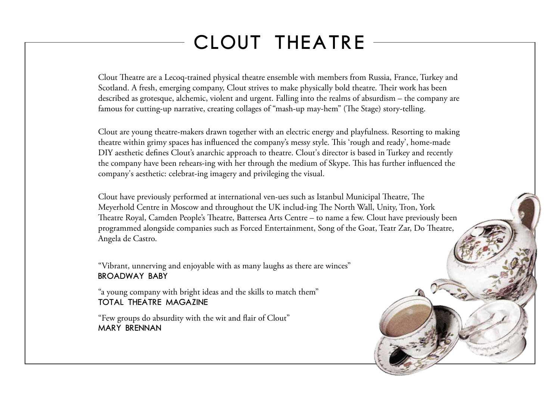### CLOUT THEATRE

Clout Theatre are a Lecoq-trained physical theatre ensemble with members from Russia, France, Turkey and Scotland. A fresh, emerging company, Clout strives to make physically bold theatre. Their work has been described as grotesque, alchemic, violent and urgent. Falling into the realms of absurdism – the company are famous for cutting-up narrative, creating collages of "mash-up may-hem" (The Stage) story-telling.

Clout are young theatre-makers drawn together with an electric energy and playfulness. Resorting to making theatre within grimy spaces has influenced the company's messy style. This 'rough and ready', home-made DIY aesthetic defines Clout's anarchic approach to theatre. Clout's director is based in Turkey and recently the company have been rehears-ing with her through the medium of Skype. This has further influenced the company's aesthetic: celebrat-ing imagery and privileging the visual.

Clout have previously performed at international ven-ues such as Istanbul Municipal Theatre, The Meyerhold Centre in Moscow and throughout the UK includ-ing The North Wall, Unity, Tron, York Theatre Royal, Camden People's Theatre, Battersea Arts Centre – to name a few. Clout have previously been programmed alongside companies such as Forced Entertainment, Song of the Goat, Teatr Zar, Do Theatre, Angela de Castro.

"Vibrant, unnerving and enjoyable with as many laughs as there are winces" BROADWAY BABY

"a young company with bright ideas and the skills to match them" Total Theatre Magazine

"Few groups do absurdity with the wit and flair of Clout" Mary Brennan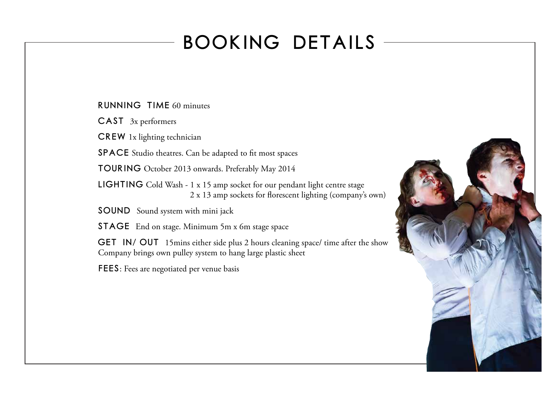### BOOKING DETAILS

Running Time 60 minutes

CASt 3x performers

CREW 1x lighting technician

SPACE Studio theatres. Can be adapted to fit most spaces

TOURING October 2013 onwards. Preferably May 2014

LIGHTING Cold Wash - 1 x 15 amp socket for our pendant light centre stage  $2 \times 13$  amp sockets for florescent lighting (company's own)

SOUND Sound system with mini jack

STAGE End on stage. Minimum 5m x 6m stage space

GET IN/ OUT 15mins either side plus 2 hours cleaning space/ time after the show Company brings own pulley system to hang large plastic sheet

FEES: Fees are negotiated per venue basis